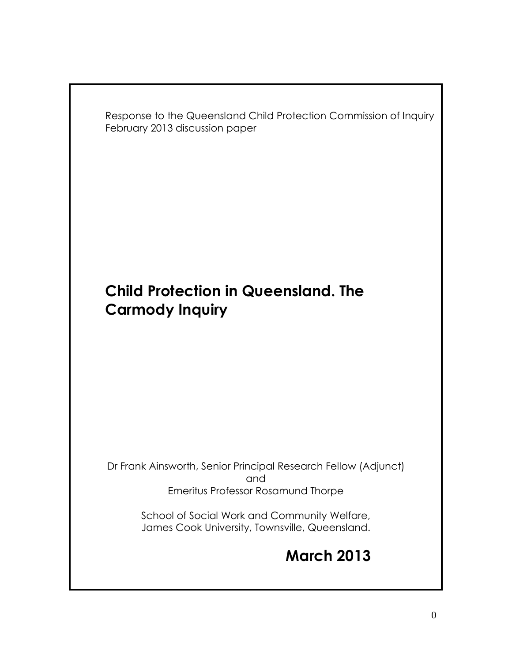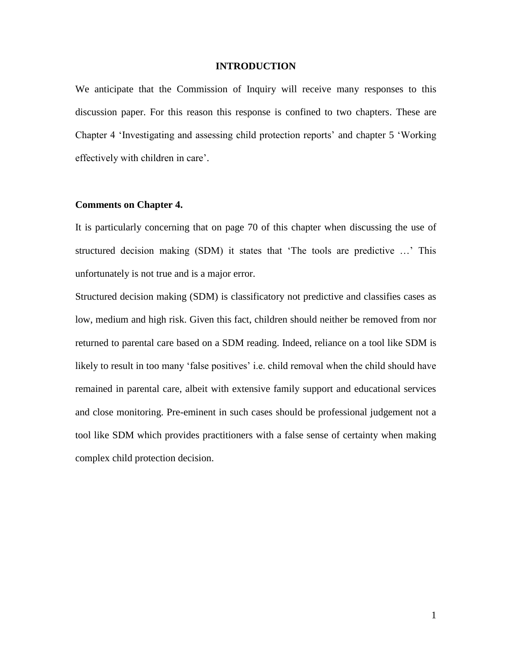### **INTRODUCTION**

We anticipate that the Commission of Inquiry will receive many responses to this discussion paper. For this reason this response is confined to two chapters. These are Chapter 4 'Investigating and assessing child protection reports' and chapter 5 'Working effectively with children in care'.

### **Comments on Chapter 4.**

It is particularly concerning that on page 70 of this chapter when discussing the use of structured decision making (SDM) it states that 'The tools are predictive …' This unfortunately is not true and is a major error.

Structured decision making (SDM) is classificatory not predictive and classifies cases as low, medium and high risk. Given this fact, children should neither be removed from nor returned to parental care based on a SDM reading. Indeed, reliance on a tool like SDM is likely to result in too many 'false positives' i.e. child removal when the child should have remained in parental care, albeit with extensive family support and educational services and close monitoring. Pre-eminent in such cases should be professional judgement not a tool like SDM which provides practitioners with a false sense of certainty when making complex child protection decision.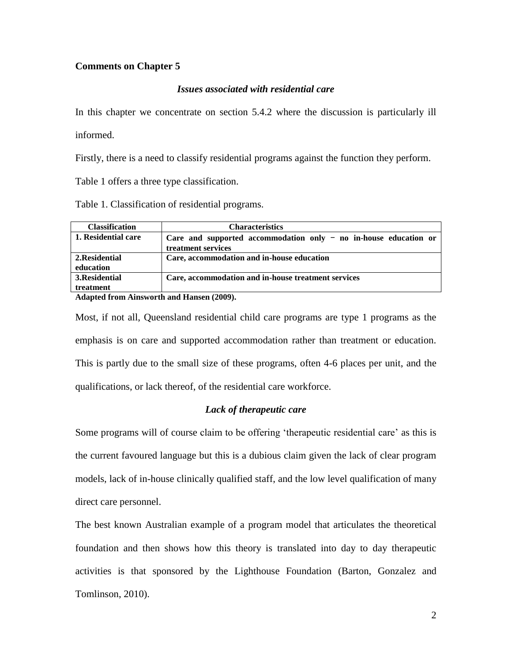# **Comments on Chapter 5**

## *Issues associated with residential care*

In this chapter we concentrate on section 5.4.2 where the discussion is particularly ill

informed.

Firstly, there is a need to classify residential programs against the function they perform.

Table 1 offers a three type classification.

Table 1. Classification of residential programs.

| <b>Characteristics</b>                                             |
|--------------------------------------------------------------------|
| Care and supported accommodation only $-$ no in-house education or |
| treatment services                                                 |
| Care, accommodation and in-house education                         |
|                                                                    |
| Care, accommodation and in-house treatment services                |
|                                                                    |
|                                                                    |

**Adapted from Ainsworth and Hansen (2009).**

Most, if not all, Queensland residential child care programs are type 1 programs as the emphasis is on care and supported accommodation rather than treatment or education. This is partly due to the small size of these programs, often 4-6 places per unit, and the qualifications, or lack thereof, of the residential care workforce.

## *Lack of therapeutic care*

Some programs will of course claim to be offering 'therapeutic residential care' as this is the current favoured language but this is a dubious claim given the lack of clear program models, lack of in-house clinically qualified staff, and the low level qualification of many direct care personnel.

The best known Australian example of a program model that articulates the theoretical foundation and then shows how this theory is translated into day to day therapeutic activities is that sponsored by the Lighthouse Foundation (Barton, Gonzalez and Tomlinson, 2010).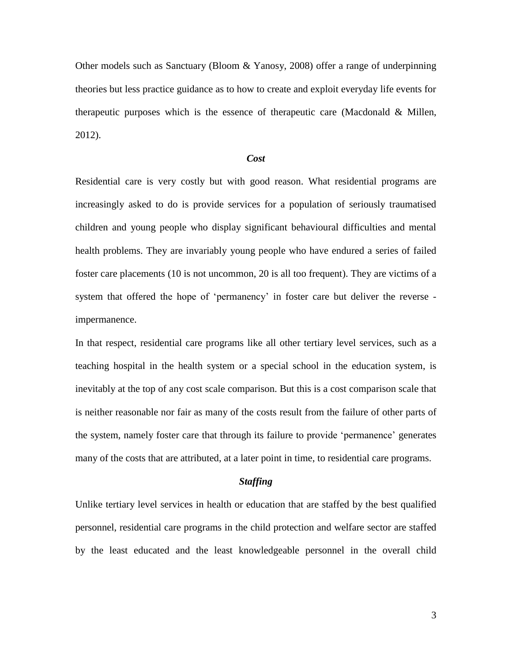Other models such as Sanctuary (Bloom & Yanosy, 2008) offer a range of underpinning theories but less practice guidance as to how to create and exploit everyday life events for therapeutic purposes which is the essence of therapeutic care (Macdonald & Millen, 2012).

### *Cost*

Residential care is very costly but with good reason. What residential programs are increasingly asked to do is provide services for a population of seriously traumatised children and young people who display significant behavioural difficulties and mental health problems. They are invariably young people who have endured a series of failed foster care placements (10 is not uncommon, 20 is all too frequent). They are victims of a system that offered the hope of 'permanency' in foster care but deliver the reverse impermanence.

In that respect, residential care programs like all other tertiary level services, such as a teaching hospital in the health system or a special school in the education system, is inevitably at the top of any cost scale comparison. But this is a cost comparison scale that is neither reasonable nor fair as many of the costs result from the failure of other parts of the system, namely foster care that through its failure to provide 'permanence' generates many of the costs that are attributed, at a later point in time, to residential care programs.

#### *Staffing*

Unlike tertiary level services in health or education that are staffed by the best qualified personnel, residential care programs in the child protection and welfare sector are staffed by the least educated and the least knowledgeable personnel in the overall child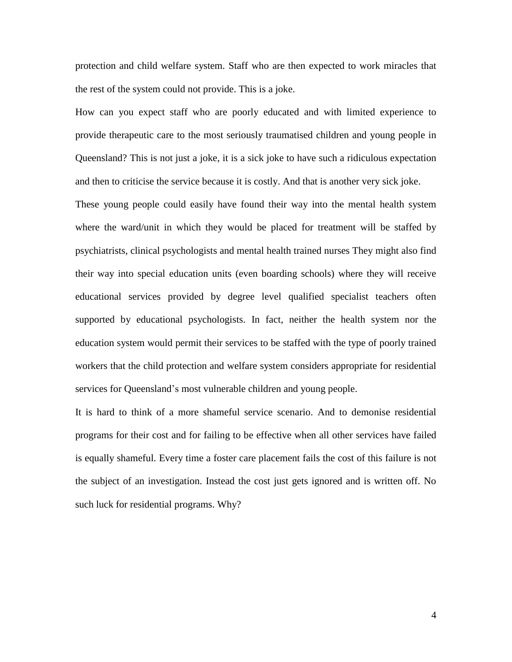protection and child welfare system. Staff who are then expected to work miracles that the rest of the system could not provide. This is a joke.

How can you expect staff who are poorly educated and with limited experience to provide therapeutic care to the most seriously traumatised children and young people in Queensland? This is not just a joke, it is a sick joke to have such a ridiculous expectation and then to criticise the service because it is costly. And that is another very sick joke.

These young people could easily have found their way into the mental health system where the ward/unit in which they would be placed for treatment will be staffed by psychiatrists, clinical psychologists and mental health trained nurses They might also find their way into special education units (even boarding schools) where they will receive educational services provided by degree level qualified specialist teachers often supported by educational psychologists. In fact, neither the health system nor the education system would permit their services to be staffed with the type of poorly trained workers that the child protection and welfare system considers appropriate for residential services for Queensland's most vulnerable children and young people.

It is hard to think of a more shameful service scenario. And to demonise residential programs for their cost and for failing to be effective when all other services have failed is equally shameful. Every time a foster care placement fails the cost of this failure is not the subject of an investigation. Instead the cost just gets ignored and is written off. No such luck for residential programs. Why?

4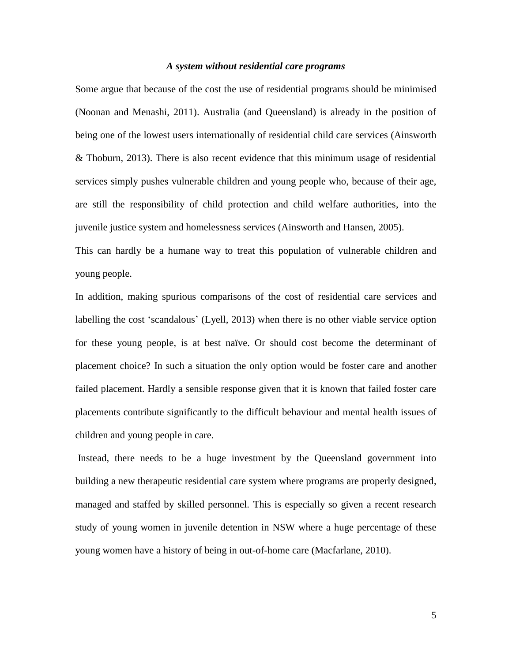## *A system without residential care programs*

Some argue that because of the cost the use of residential programs should be minimised (Noonan and Menashi, 2011). Australia (and Queensland) is already in the position of being one of the lowest users internationally of residential child care services (Ainsworth & Thoburn, 2013). There is also recent evidence that this minimum usage of residential services simply pushes vulnerable children and young people who, because of their age, are still the responsibility of child protection and child welfare authorities, into the juvenile justice system and homelessness services (Ainsworth and Hansen, 2005).

This can hardly be a humane way to treat this population of vulnerable children and young people.

In addition, making spurious comparisons of the cost of residential care services and labelling the cost 'scandalous' (Lyell, 2013) when there is no other viable service option for these young people, is at best naïve. Or should cost become the determinant of placement choice? In such a situation the only option would be foster care and another failed placement. Hardly a sensible response given that it is known that failed foster care placements contribute significantly to the difficult behaviour and mental health issues of children and young people in care.

Instead, there needs to be a huge investment by the Queensland government into building a new therapeutic residential care system where programs are properly designed, managed and staffed by skilled personnel. This is especially so given a recent research study of young women in juvenile detention in NSW where a huge percentage of these young women have a history of being in out-of-home care (Macfarlane, 2010).